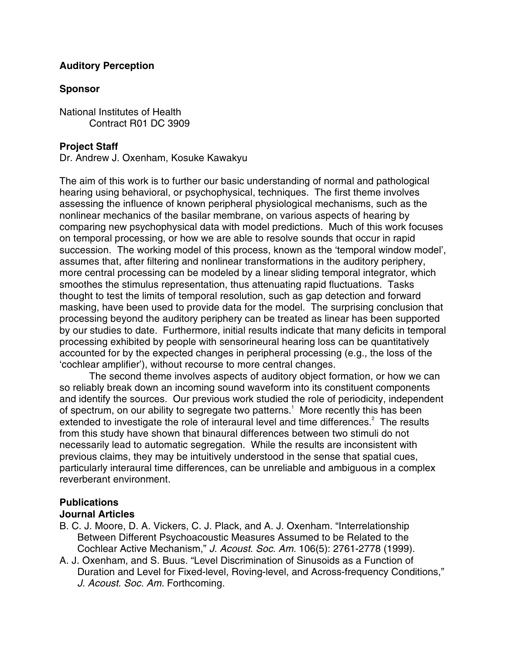## **Auditory Perception**

## **Sponsor**

National Institutes of Health Contract R01 DC 3909

## **Project Staff**

Dr. Andrew J. Oxenham, Kosuke Kawakyu

The aim of this work is to further our basic understanding of normal and pathological hearing using behavioral, or psychophysical, techniques. The first theme involves assessing the influence of known peripheral physiological mechanisms, such as the nonlinear mechanics of the basilar membrane, on various aspects of hearing by comparing new psychophysical data with model predictions. Much of this work focuses on temporal processing, or how we are able to resolve sounds that occur in rapid succession. The working model of this process, known as the 'temporal window model', assumes that, after filtering and nonlinear transformations in the auditory periphery, more central processing can be modeled by a linear sliding temporal integrator, which smoothes the stimulus representation, thus attenuating rapid fluctuations. Tasks thought to test the limits of temporal resolution, such as gap detection and forward masking, have been used to provide data for the model. The surprising conclusion that processing beyond the auditory periphery can be treated as linear has been supported by our studies to date. Furthermore, initial results indicate that many deficits in temporal processing exhibited by people with sensorineural hearing loss can be quantitatively accounted for by the expected changes in peripheral processing (e.g., the loss of the 'cochlear amplifier'), without recourse to more central changes.

 The second theme involves aspects of auditory object formation, or how we can so reliably break down an incoming sound waveform into its constituent components and identify the sources. Our previous work studied the role of periodicity, independent of spectrum, on our ability to segregate two patterns.<sup>1</sup> More recently this has been extended to investigate the role of interaural level and time differences. $2$  The results from this study have shown that binaural differences between two stimuli do not necessarily lead to automatic segregation. While the results are inconsistent with previous claims, they may be intuitively understood in the sense that spatial cues, particularly interaural time differences, can be unreliable and ambiguous in a complex reverberant environment.

# **Publications**

### **Journal Articles**

- B. C. J. Moore, D. A. Vickers, C. J. Plack, and A. J. Oxenham. "Interrelationship Between Different Psychoacoustic Measures Assumed to be Related to the Cochlear Active Mechanism," *J. Acoust. Soc. Am.* 106(5): 2761-2778 (1999).
- A. J. Oxenham, and S. Buus. "Level Discrimination of Sinusoids as a Function of Duration and Level for Fixed-level, Roving-level, and Across-frequency Conditions," *J. Acoust. Soc. Am.* Forthcoming.